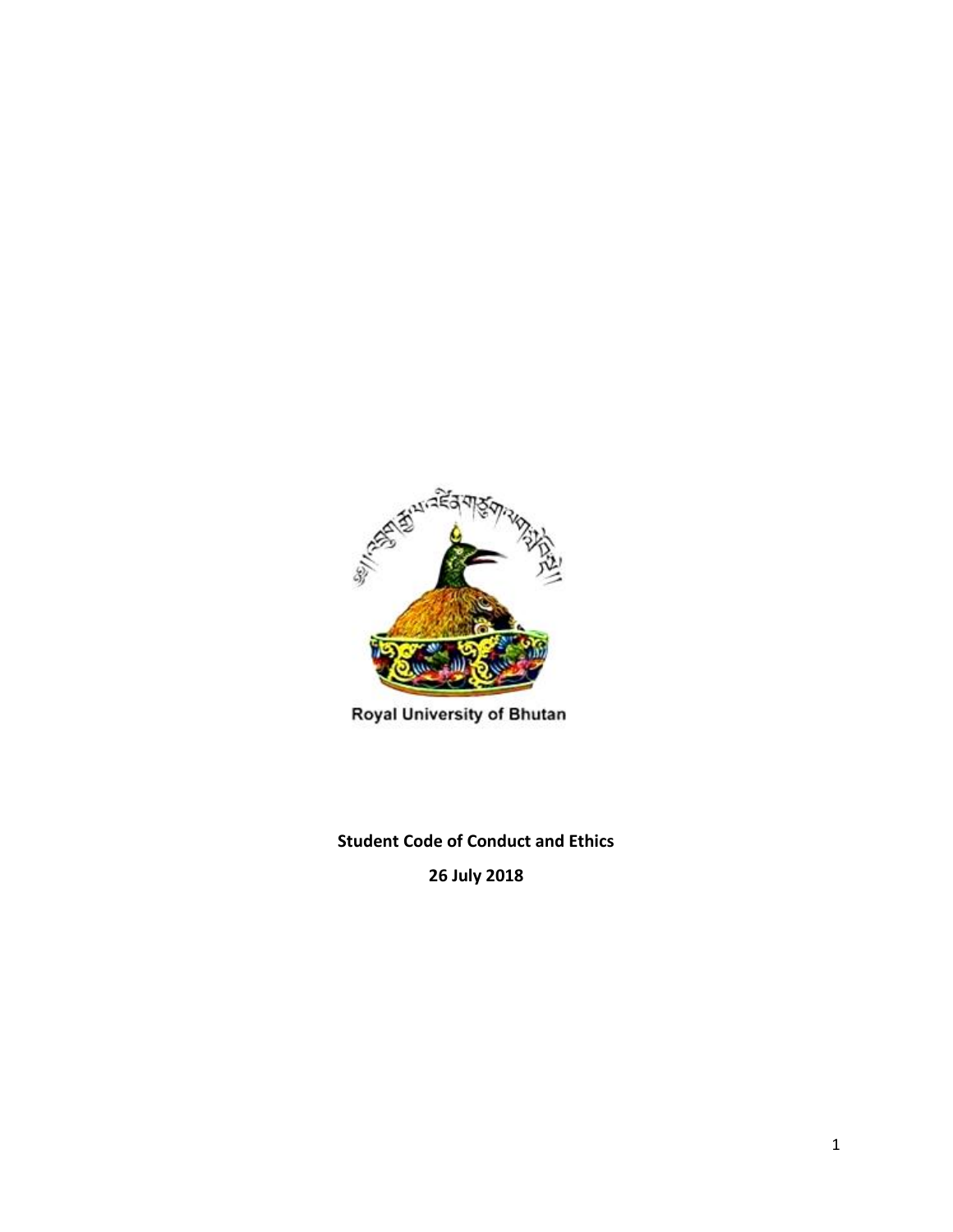

Royal University of Bhutan

**Student Code of Conduct and Ethics**

**26 July 2018**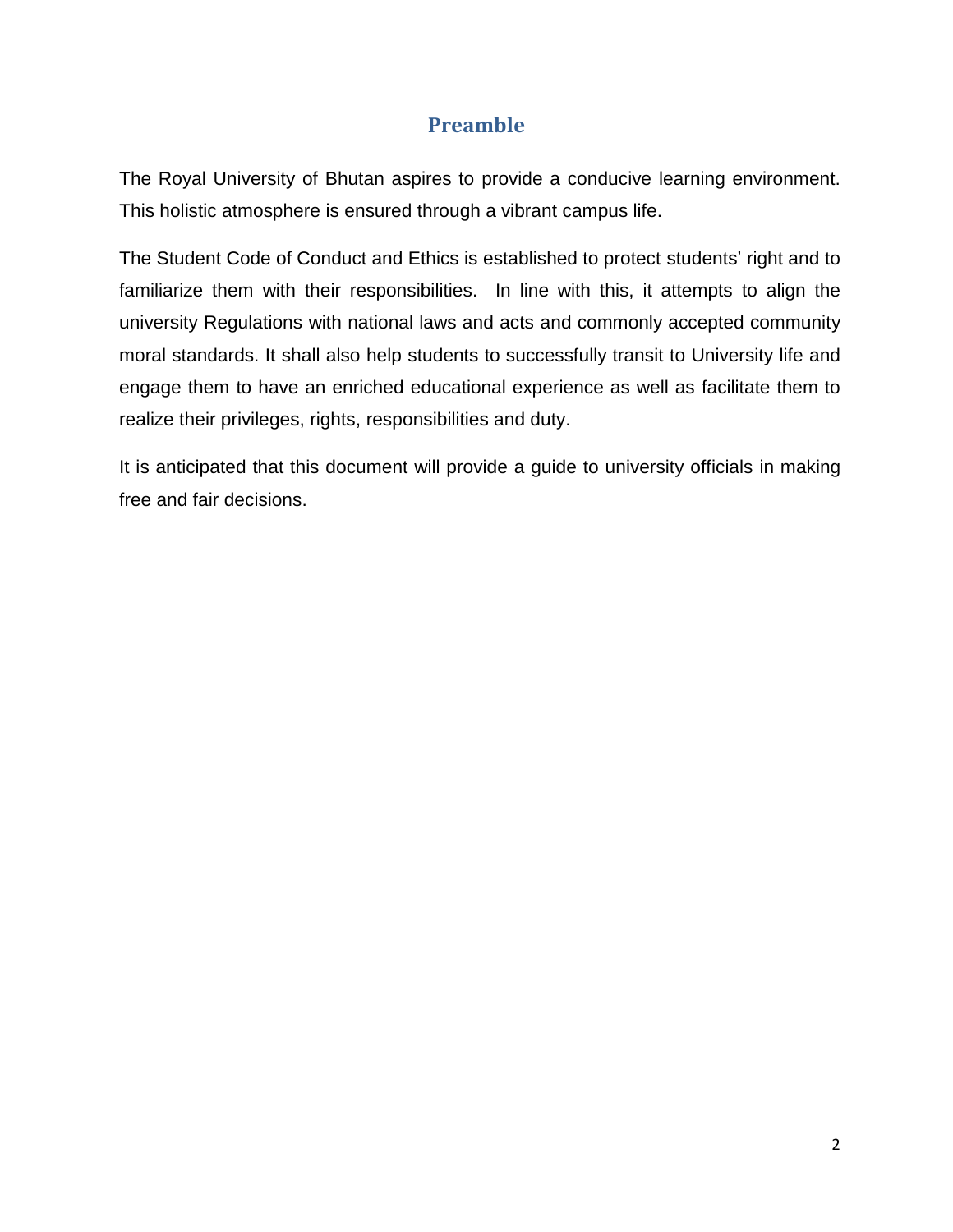# **Preamble**

The Royal University of Bhutan aspires to provide a conducive learning environment. This holistic atmosphere is ensured through a vibrant campus life.

The Student Code of Conduct and Ethics is established to protect students' right and to familiarize them with their responsibilities. In line with this, it attempts to align the university Regulations with national laws and acts and commonly accepted community moral standards. It shall also help students to successfully transit to University life and engage them to have an enriched educational experience as well as facilitate them to realize their privileges, rights, responsibilities and duty.

It is anticipated that this document will provide a guide to university officials in making free and fair decisions.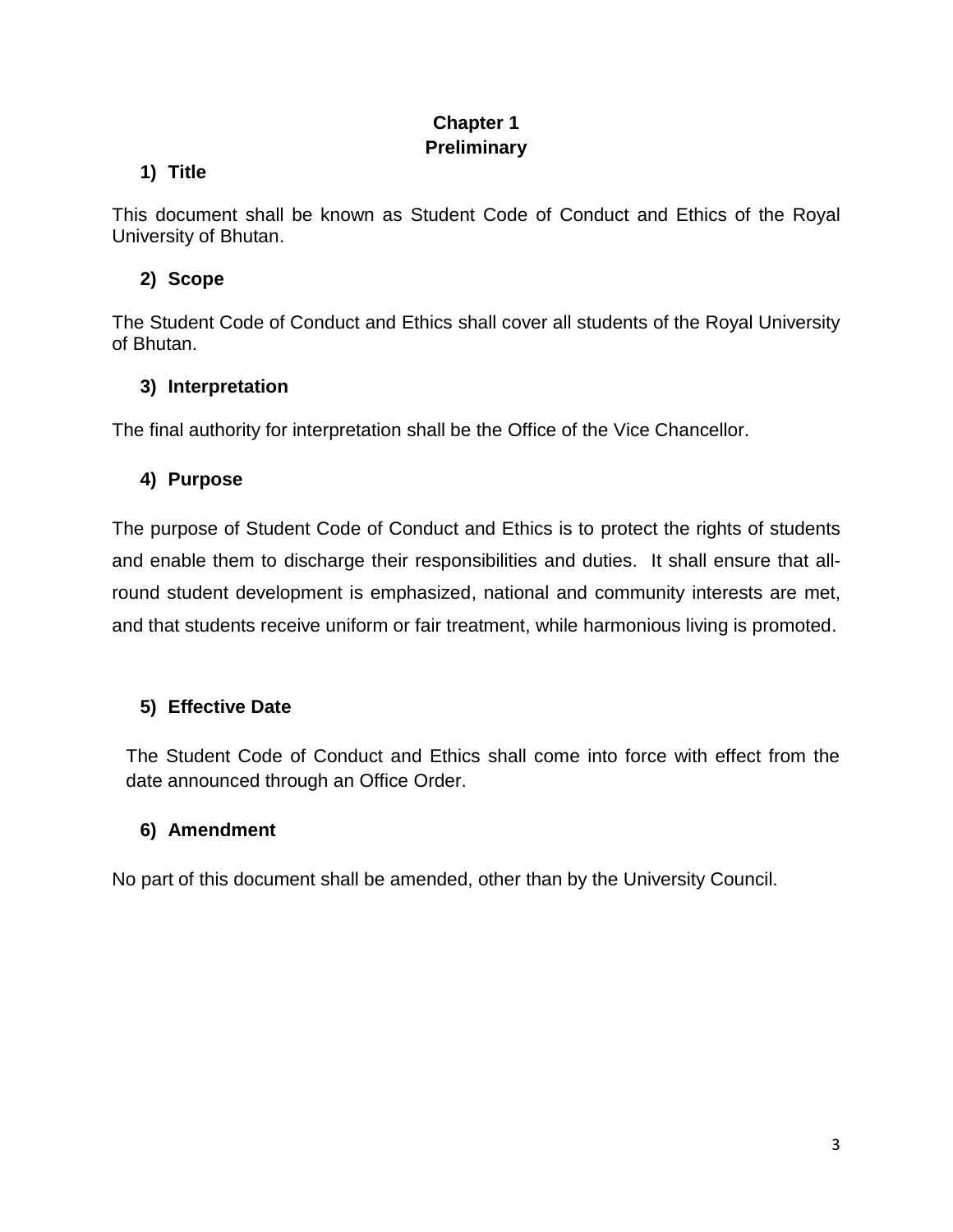## **Chapter 1 Preliminary**

### **1) Title**

This document shall be known as Student Code of Conduct and Ethics of the Royal University of Bhutan.

## **2) Scope**

The Student Code of Conduct and Ethics shall cover all students of the Royal University of Bhutan.

### **3) Interpretation**

The final authority for interpretation shall be the Office of the Vice Chancellor.

## **4) Purpose**

The purpose of Student Code of Conduct and Ethics is to protect the rights of students and enable them to discharge their responsibilities and duties. It shall ensure that allround student development is emphasized, national and community interests are met, and that students receive uniform or fair treatment, while harmonious living is promoted.

## **5) Effective Date**

The Student Code of Conduct and Ethics shall come into force with effect from the date announced through an Office Order.

## **6) Amendment**

No part of this document shall be amended, other than by the University Council.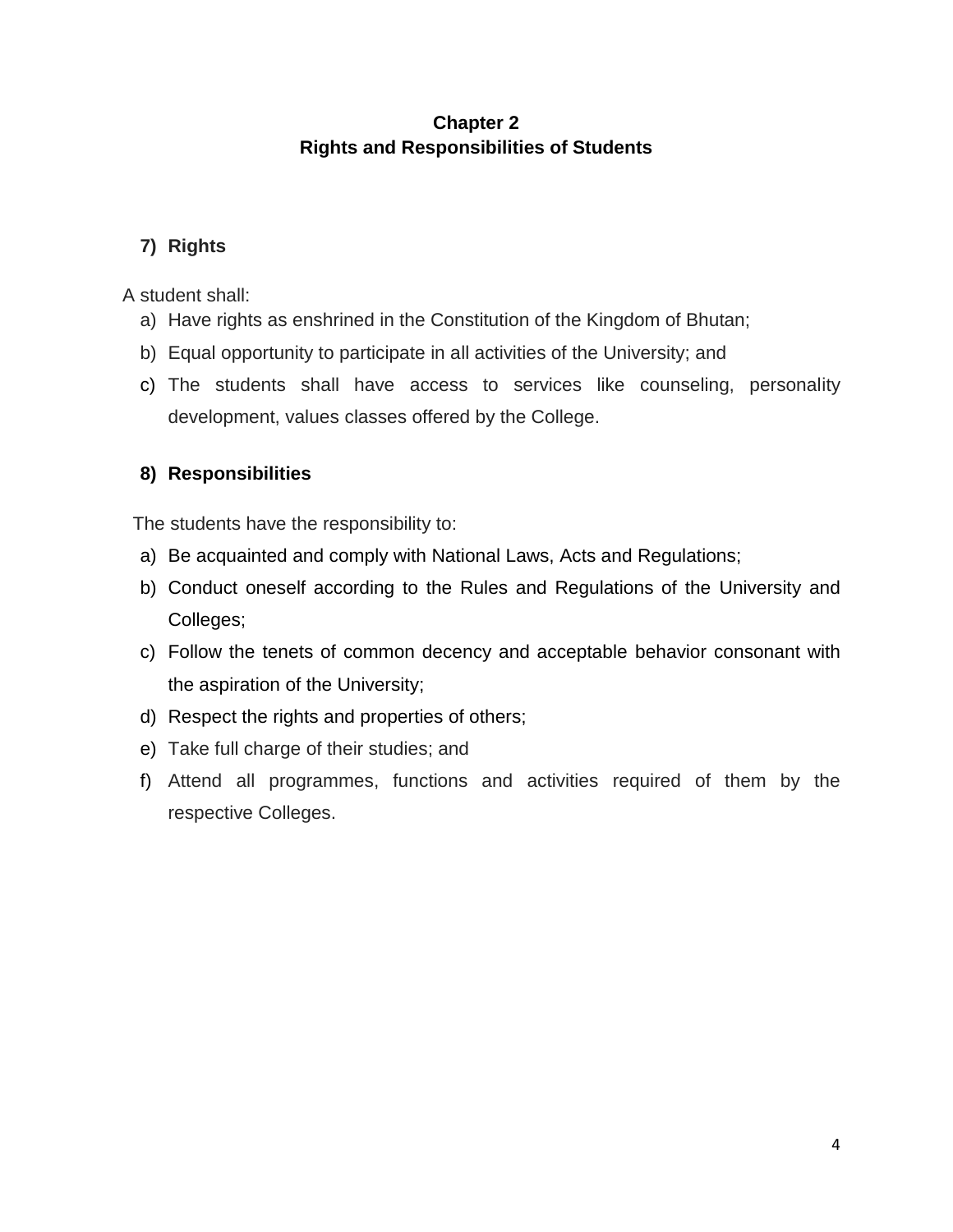## **Chapter 2 Rights and Responsibilities of Students**

## **7) Rights**

A student shall:

- a) Have rights as enshrined in the Constitution of the Kingdom of Bhutan;
- b) Equal opportunity to participate in all activities of the University; and
- c) The students shall have access to services like counseling, personality development, values classes offered by the College.

## **8) Responsibilities**

The students have the responsibility to:

- a) Be acquainted and comply with National Laws, Acts and Regulations;
- b) Conduct oneself according to the Rules and Regulations of the University and Colleges;
- c) Follow the tenets of common decency and acceptable behavior consonant with the aspiration of the University;
- d) Respect the rights and properties of others;
- e) Take full charge of their studies; and
- f) Attend all programmes, functions and activities required of them by the respective Colleges.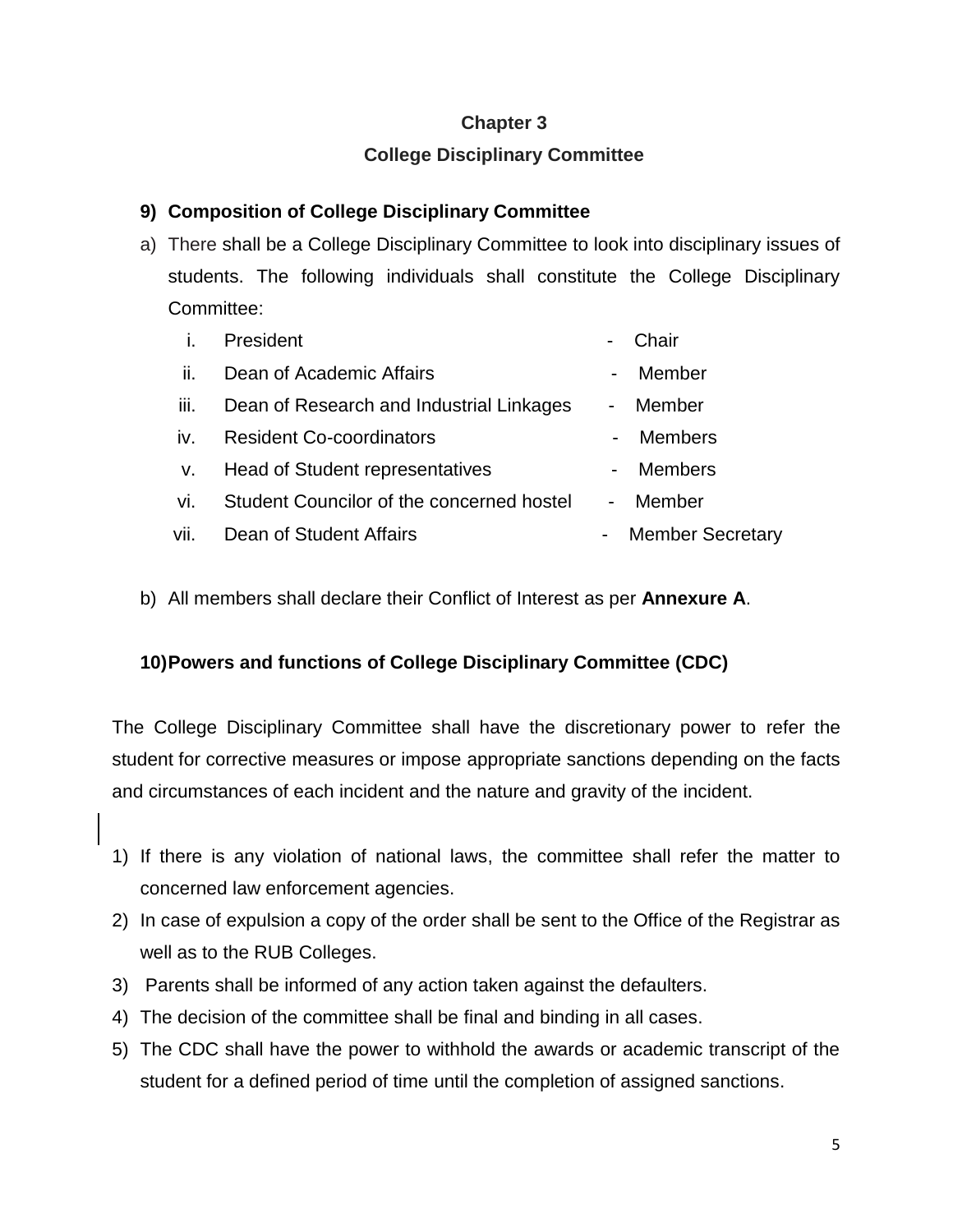#### **Chapter 3**

## **College Disciplinary Committee**

#### **9) Composition of College Disciplinary Committee**

a) There shall be a College Disciplinary Committee to look into disciplinary issues of students. The following individuals shall constitute the College Disciplinary Committee:

|             | President                                 |            | Chair                   |
|-------------|-------------------------------------------|------------|-------------------------|
| ii.         | Dean of Academic Affairs                  |            | Member                  |
| iii.        | Dean of Research and Industrial Linkages  | $\sim 100$ | Member                  |
| iv.         | <b>Resident Co-coordinators</b>           |            | <b>Members</b>          |
| $V_{\star}$ | Head of Student representatives           |            | <b>Members</b>          |
| vi.         | Student Councilor of the concerned hostel | $\sim 10$  | Member                  |
| vii.        | Dean of Student Affairs                   |            | <b>Member Secretary</b> |
|             |                                           |            |                         |

b) All members shall declare their Conflict of Interest as per **Annexure A**.

#### **10)Powers and functions of College Disciplinary Committee (CDC)**

The College Disciplinary Committee shall have the discretionary power to refer the student for corrective measures or impose appropriate sanctions depending on the facts and circumstances of each incident and the nature and gravity of the incident.

- 1) If there is any violation of national laws, the committee shall refer the matter to concerned law enforcement agencies.
- 2) In case of expulsion a copy of the order shall be sent to the Office of the Registrar as well as to the RUB Colleges.
- 3) Parents shall be informed of any action taken against the defaulters.
- 4) The decision of the committee shall be final and binding in all cases.
- 5) The CDC shall have the power to withhold the awards or academic transcript of the student for a defined period of time until the completion of assigned sanctions.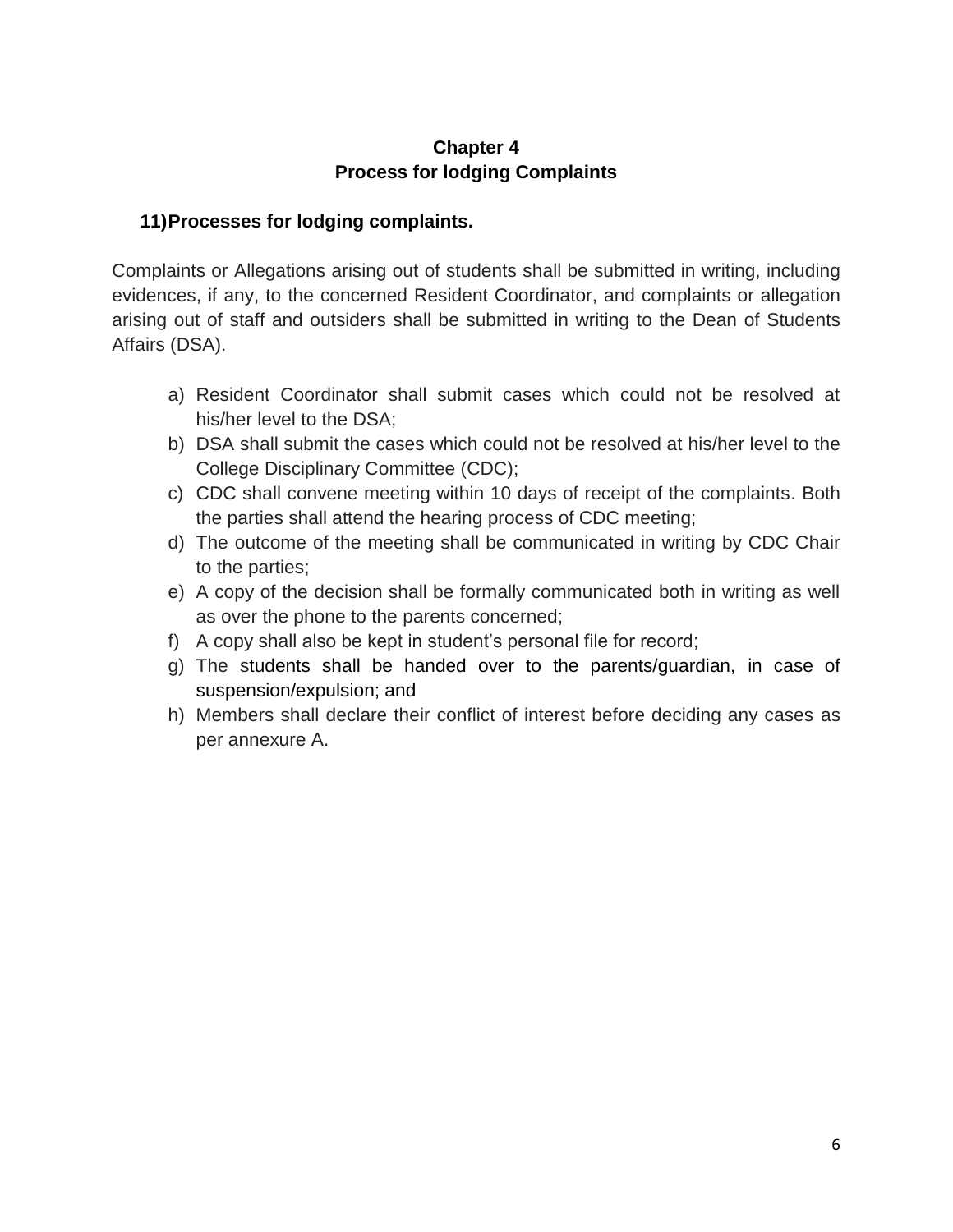#### **Chapter 4 Process for lodging Complaints**

#### **11)Processes for lodging complaints.**

Complaints or Allegations arising out of students shall be submitted in writing, including evidences, if any, to the concerned Resident Coordinator, and complaints or allegation arising out of staff and outsiders shall be submitted in writing to the Dean of Students Affairs (DSA).

- a) Resident Coordinator shall submit cases which could not be resolved at his/her level to the DSA;
- b) DSA shall submit the cases which could not be resolved at his/her level to the College Disciplinary Committee (CDC);
- c) CDC shall convene meeting within 10 days of receipt of the complaints. Both the parties shall attend the hearing process of CDC meeting;
- d) The outcome of the meeting shall be communicated in writing by CDC Chair to the parties;
- e) A copy of the decision shall be formally communicated both in writing as well as over the phone to the parents concerned;
- f) A copy shall also be kept in student's personal file for record;
- g) The students shall be handed over to the parents/guardian, in case of suspension/expulsion; and
- h) Members shall declare their conflict of interest before deciding any cases as per annexure A.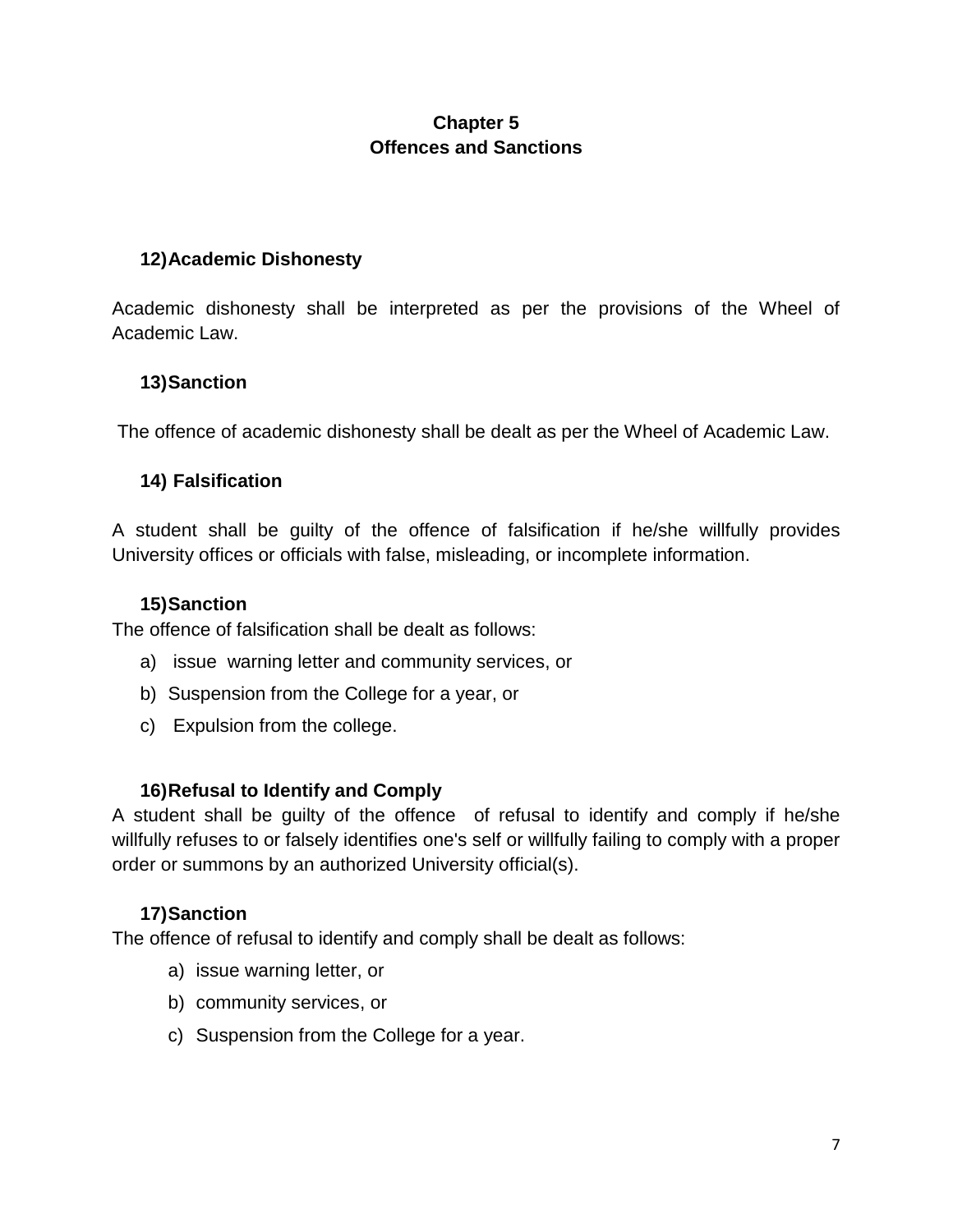## **Chapter 5 Offences and Sanctions**

#### **12)Academic Dishonesty**

Academic dishonesty shall be interpreted as per the provisions of the Wheel of Academic Law.

### **13)Sanction**

The offence of academic dishonesty shall be dealt as per the Wheel of Academic Law.

## **14) Falsification**

A student shall be guilty of the offence of falsification if he/she willfully provides University offices or officials with false, misleading, or incomplete information.

#### **15)Sanction**

The offence of falsification shall be dealt as follows:

- a) issue warning letter and community services, or
- b) Suspension from the College for a year, or
- c) Expulsion from the college.

#### **16)Refusal to Identify and Comply**

A student shall be guilty of the offence of refusal to identify and comply if he/she willfully refuses to or falsely identifies one's self or willfully failing to comply with a proper order or summons by an authorized University official(s).

#### **17)Sanction**

The offence of refusal to identify and comply shall be dealt as follows:

- a) issue warning letter, or
- b) community services, or
- c) Suspension from the College for a year.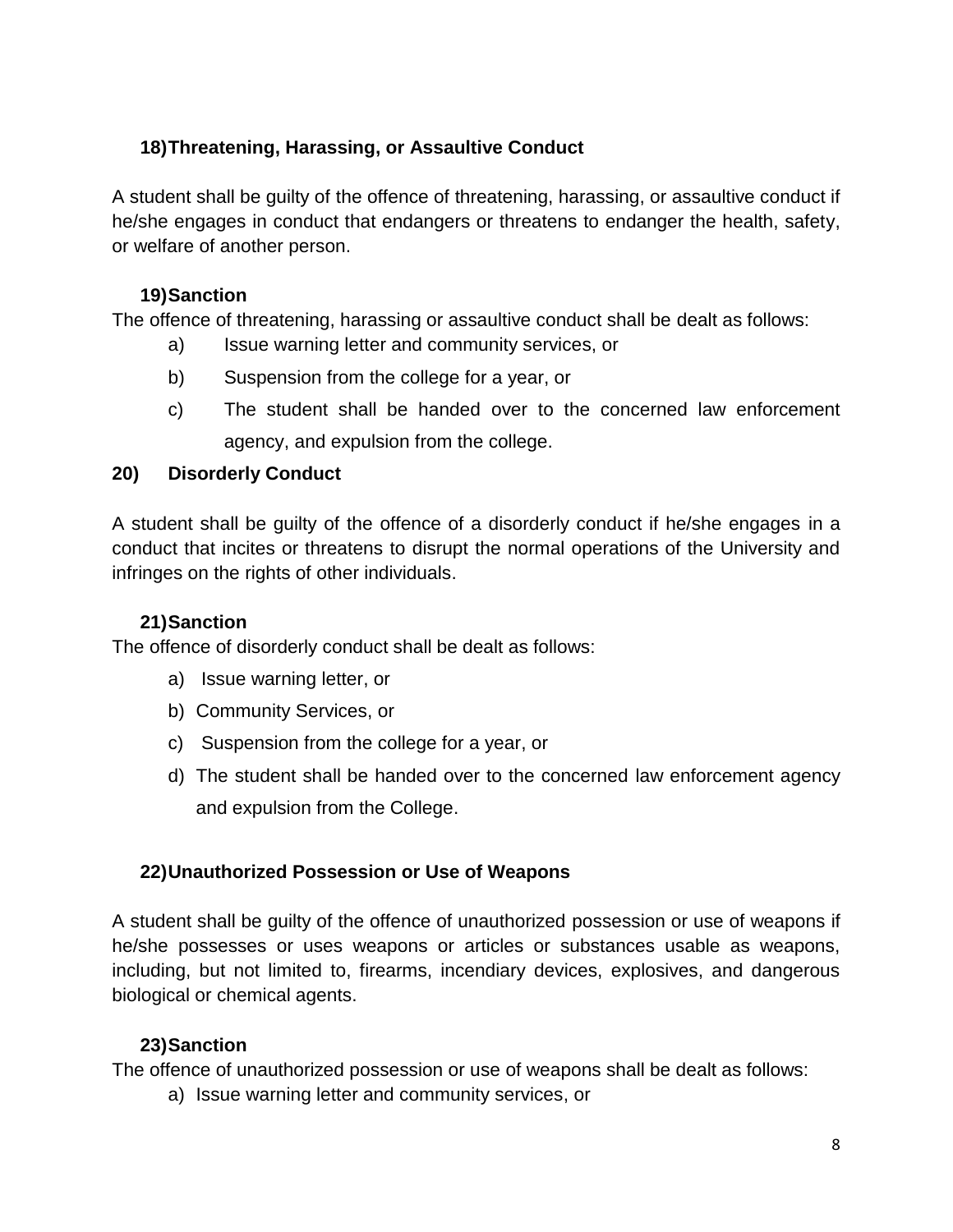## **18)Threatening, Harassing, or Assaultive Conduct**

A student shall be guilty of the offence of threatening, harassing, or assaultive conduct if he/she engages in conduct that endangers or threatens to endanger the health, safety, or welfare of another person.

### **19)Sanction**

The offence of threatening, harassing or assaultive conduct shall be dealt as follows:

- a) Issue warning letter and community services, or
- b) Suspension from the college for a year, or
- c) The student shall be handed over to the concerned law enforcement agency, and expulsion from the college.

### **20) Disorderly Conduct**

A student shall be guilty of the offence of a disorderly conduct if he/she engages in a conduct that incites or threatens to disrupt the normal operations of the University and infringes on the rights of other individuals.

## **21)Sanction**

The offence of disorderly conduct shall be dealt as follows:

- a) Issue warning letter, or
- b) Community Services, or
- c) Suspension from the college for a year, or
- d) The student shall be handed over to the concerned law enforcement agency and expulsion from the College.

## **22)Unauthorized Possession or Use of Weapons**

A student shall be guilty of the offence of unauthorized possession or use of weapons if he/she possesses or uses weapons or articles or substances usable as weapons, including, but not limited to, firearms, incendiary devices, explosives, and dangerous biological or chemical agents.

## **23)Sanction**

The offence of unauthorized possession or use of weapons shall be dealt as follows:

a) Issue warning letter and community services, or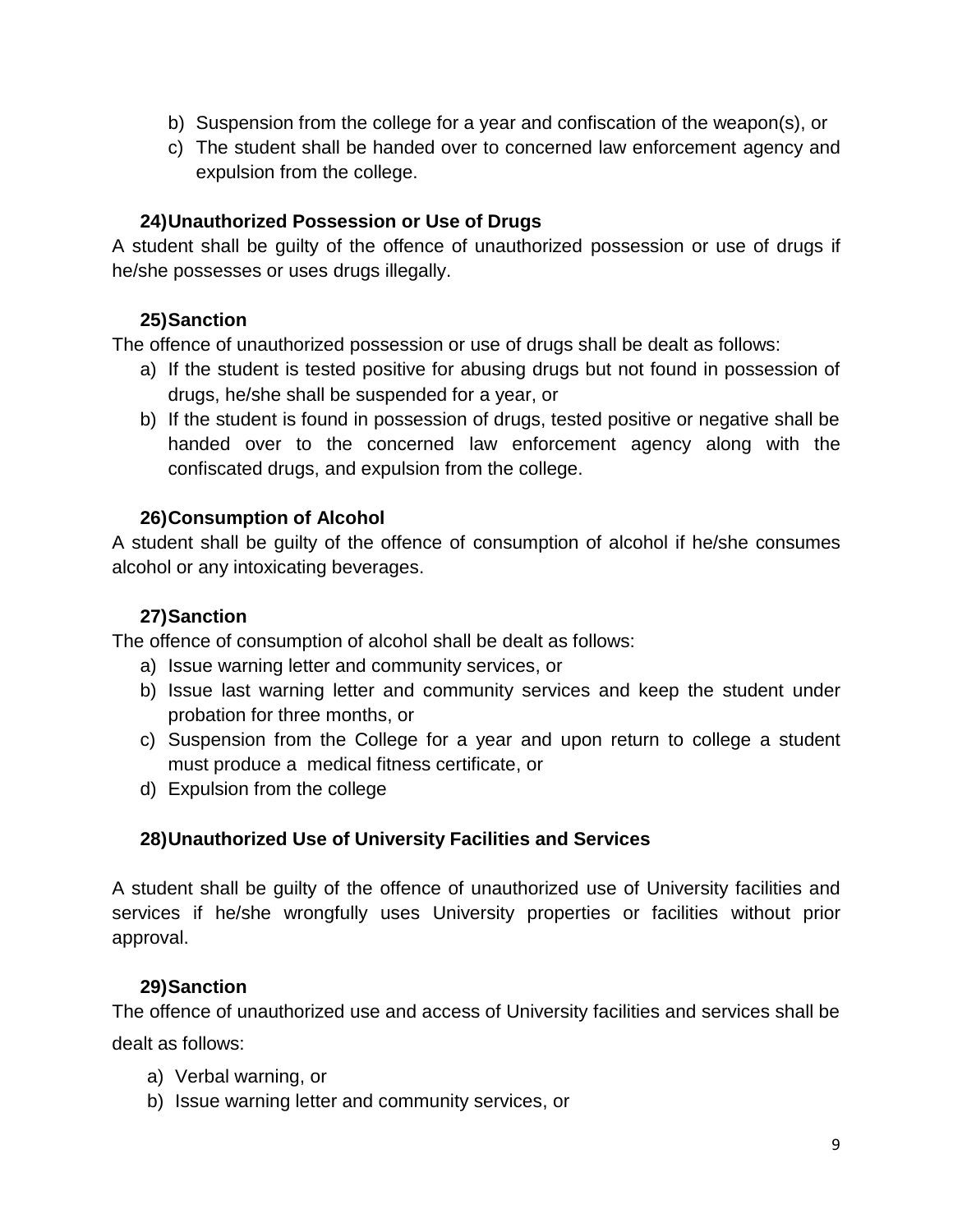- b) Suspension from the college for a year and confiscation of the weapon(s), or
- c) The student shall be handed over to concerned law enforcement agency and expulsion from the college.

#### **24)Unauthorized Possession or Use of Drugs**

A student shall be guilty of the offence of unauthorized possession or use of drugs if he/she possesses or uses drugs illegally.

#### **25)Sanction**

The offence of unauthorized possession or use of drugs shall be dealt as follows:

- a) If the student is tested positive for abusing drugs but not found in possession of drugs, he/she shall be suspended for a year, or
- b) If the student is found in possession of drugs, tested positive or negative shall be handed over to the concerned law enforcement agency along with the confiscated drugs, and expulsion from the college.

#### **26)Consumption of Alcohol**

A student shall be guilty of the offence of consumption of alcohol if he/she consumes alcohol or any intoxicating beverages.

#### **27)Sanction**

The offence of consumption of alcohol shall be dealt as follows:

- a) Issue warning letter and community services, or
- b) Issue last warning letter and community services and keep the student under probation for three months, or
- c) Suspension from the College for a year and upon return to college a student must produce a medical fitness certificate, or
- d) Expulsion from the college

#### **28)Unauthorized Use of University Facilities and Services**

A student shall be guilty of the offence of unauthorized use of University facilities and services if he/she wrongfully uses University properties or facilities without prior approval.

#### **29)Sanction**

The offence of unauthorized use and access of University facilities and services shall be dealt as follows:

- a) Verbal warning, or
- b) Issue warning letter and community services, or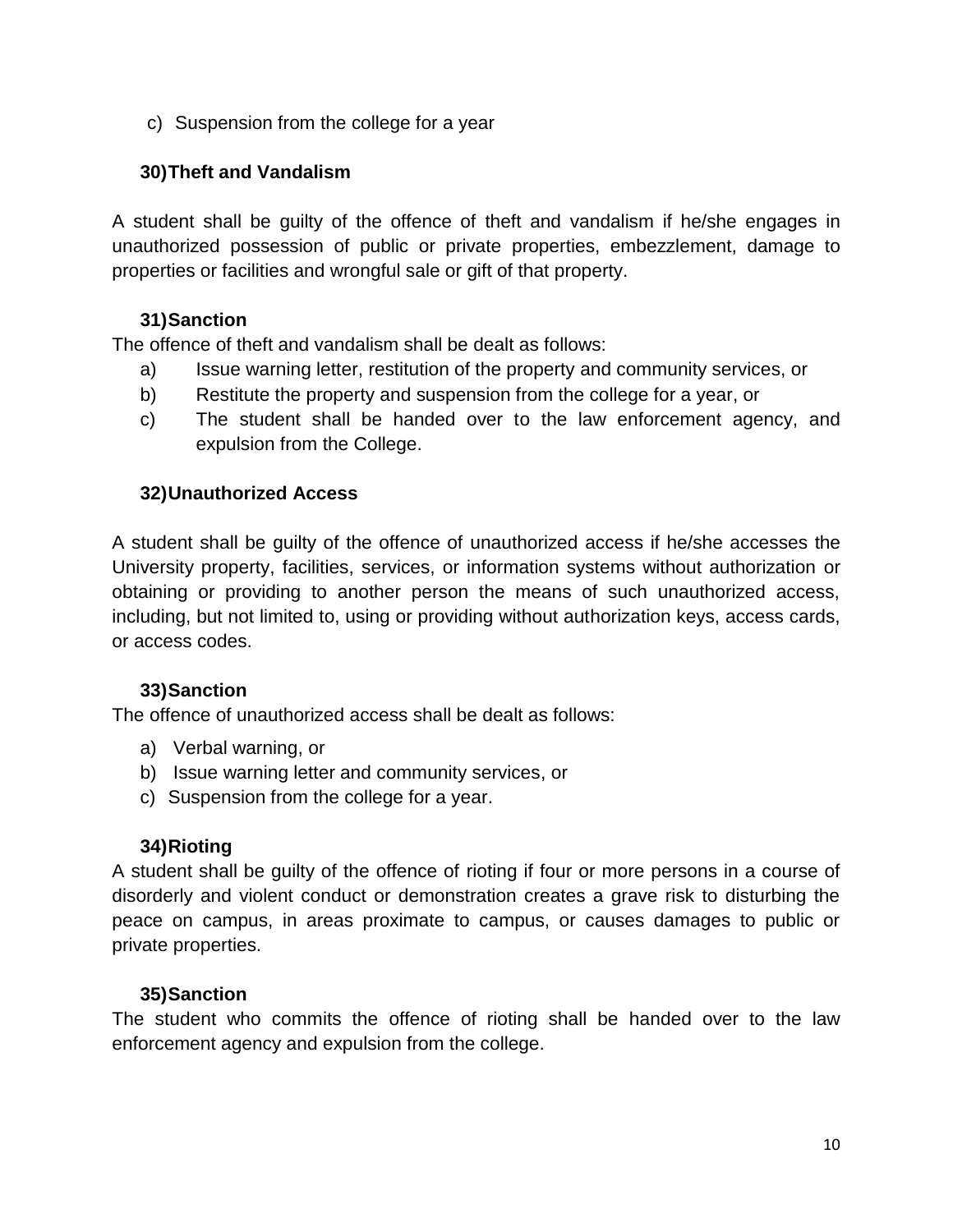c) Suspension from the college for a year

#### **30)Theft and Vandalism**

A student shall be guilty of the offence of theft and vandalism if he/she engages in unauthorized possession of public or private properties, embezzlement, damage to properties or facilities and wrongful sale or gift of that property.

#### **31)Sanction**

The offence of theft and vandalism shall be dealt as follows:

- a) Issue warning letter, restitution of the property and community services, or
- b) Restitute the property and suspension from the college for a year, or
- c) The student shall be handed over to the law enforcement agency, and expulsion from the College.

#### **32)Unauthorized Access**

A student shall be guilty of the offence of unauthorized access if he/she accesses the University property, facilities, services, or information systems without authorization or obtaining or providing to another person the means of such unauthorized access, including, but not limited to, using or providing without authorization keys, access cards, or access codes.

#### **33)Sanction**

The offence of unauthorized access shall be dealt as follows:

- a) Verbal warning, or
- b) Issue warning letter and community services, or
- c) Suspension from the college for a year.

#### **34)Rioting**

A student shall be guilty of the offence of rioting if four or more persons in a course of disorderly and violent conduct or demonstration creates a grave risk to disturbing the peace on campus, in areas proximate to campus, or causes damages to public or private properties.

#### **35)Sanction**

The student who commits the offence of rioting shall be handed over to the law enforcement agency and expulsion from the college.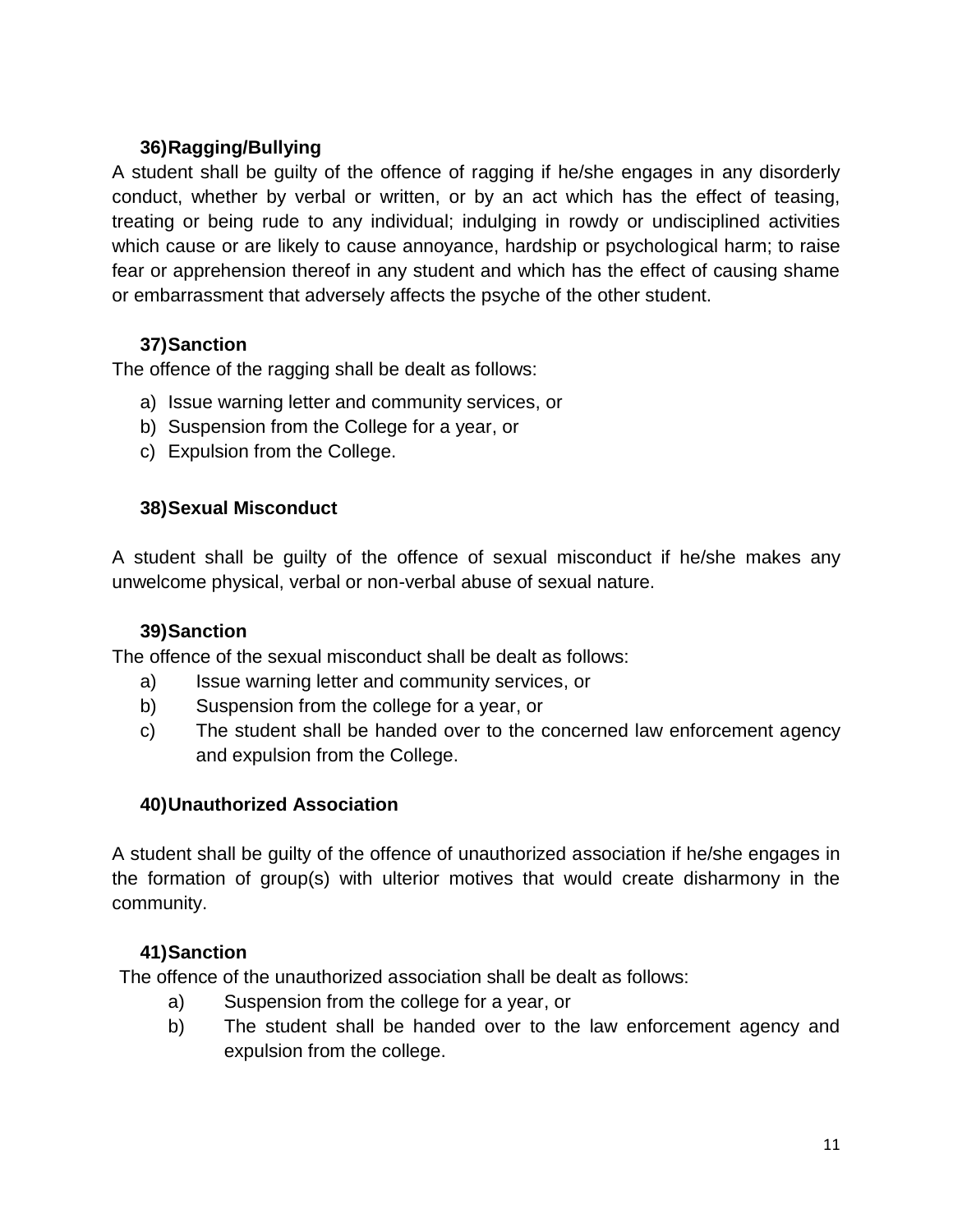## **36)Ragging/Bullying**

A student shall be guilty of the offence of ragging if he/she engages in any disorderly conduct, whether by verbal or written, or by an act which has the effect of teasing, treating or being rude to any individual; indulging in rowdy or undisciplined activities which cause or are likely to cause annoyance, hardship or psychological harm; to raise fear or apprehension thereof in any student and which has the effect of causing shame or embarrassment that adversely affects the psyche of the other student.

#### **37)Sanction**

The offence of the ragging shall be dealt as follows:

- a) Issue warning letter and community services, or
- b) Suspension from the College for a year, or
- c) Expulsion from the College.

#### **38)Sexual Misconduct**

A student shall be guilty of the offence of sexual misconduct if he/she makes any unwelcome physical, verbal or non-verbal abuse of sexual nature.

#### **39)Sanction**

The offence of the sexual misconduct shall be dealt as follows:

- a) Issue warning letter and community services, or
- b) Suspension from the college for a year, or
- c) The student shall be handed over to the concerned law enforcement agency and expulsion from the College.

#### **40)Unauthorized Association**

A student shall be guilty of the offence of unauthorized association if he/she engages in the formation of group(s) with ulterior motives that would create disharmony in the community.

#### **41)Sanction**

The offence of the unauthorized association shall be dealt as follows:

- a) Suspension from the college for a year, or
- b) The student shall be handed over to the law enforcement agency and expulsion from the college.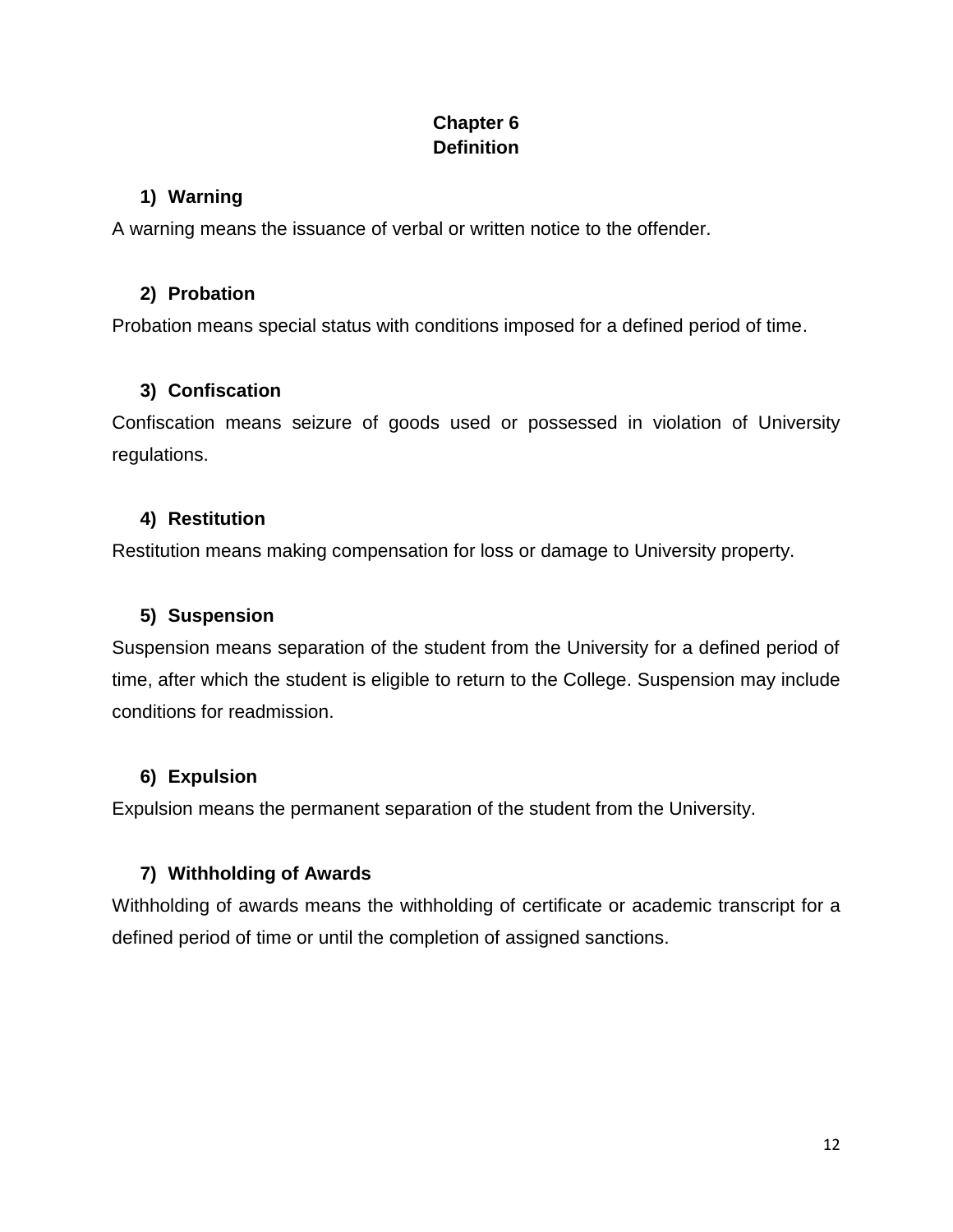## **Chapter 6 Definition**

## **1) Warning**

A warning means the issuance of verbal or written notice to the offender.

## **2) Probation**

Probation means special status with conditions imposed for a defined period of time.

# **3) Confiscation**

Confiscation means seizure of goods used or possessed in violation of University regulations.

## **4) Restitution**

Restitution means making compensation for loss or damage to University property.

## **5) Suspension**

Suspension means separation of the student from the University for a defined period of time, after which the student is eligible to return to the College. Suspension may include conditions for readmission.

# **6) Expulsion**

Expulsion means the permanent separation of the student from the University.

# **7) Withholding of Awards**

Withholding of awards means the withholding of certificate or academic transcript for a defined period of time or until the completion of assigned sanctions.